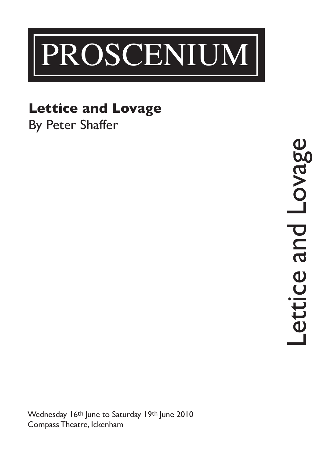

### **Lettice and Lovage**

By Peter Shaffer

and Lovage Lettice and Lovage ettice

Wednesday 16th June to Saturday 19th June 2010 Compass Theatre, Ickenham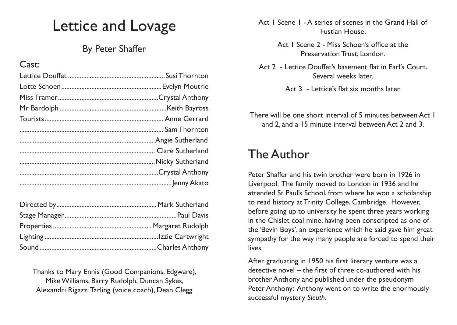# Lettice and Lovage

### By Peter Shaffer

#### Cast:

Thanks to Mary Ennis (Good Companions, Edgware), Mike Williams, Barry Rudolph, Duncan Sykes, Alexandri Rigazzi Tarling (voice coach), Dean Clegg

Act 1 Scene 1 - A series of scenes in the Grand Hall of Fustian House.

> Act 1 Scene 2 - Miss Schoen's office at the Preservation Trust, London.

- Act 2 Lettice Douffet's basement flat in Earl's Court. Several weeks later.
	- Act 3 Lettice's flat six months later.

There will be one short interval of 5 minutes between Act 1 and 2, and a 15 minute interval between Act 2 and 3.

## The Author

Peter Shaffer and his twin brother were born in 1926 in Liverpool. The family moved to London in 1936 and he attended St Paul's School, from where he won a scholarship to read history at Trinity College, Cambridge. However, before going up to university he spent three years working in the Chislet coal mine, having been conscripted as one of the 'Bevin Boys', an experience which he said gave him great sympathy for the way many people are forced to spend their lives.

After graduating in 1950 his first literary venture was a detective novel – the first of three co-authored with his brother Anthony and published under the pseudonym Peter Anthony: Anthony went on to write the enormously successful mystery *Sleuth*.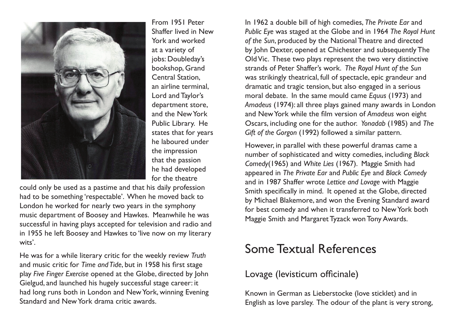

From 1951 Peter Shaffer lived in New York and worked at a variety of jobs: Doubleday's bookshop, Grand Central Station, an airline terminal, Lord and Taylor's department store, and the New York Public Library. He states that for years he laboured under the impression that the passion he had developed for the theatre

could only be used as a pastime and that his daily profession had to be something 'respectable'. When he moved back to London he worked for nearly two years in the symphony music department of Boosey and Hawkes. Meanwhile he was successful in having plays accepted for television and radio and in 1955 he left Boosey and Hawkes to 'live now on my literary wits'.

He was for a while literary critic for the weekly review *Truth*  and music critic for *Time and Tide*, but in 1958 his first stage play *Five Finger Exercise* opened at the Globe, directed by John Gielgud, and launched his hugely successful stage career: it had long runs both in London and New York, winning Evening Standard and New York drama critic awards.

In 1962 a double bill of high comedies, *The Private Ear* and *Public Eye* was staged at the Globe and in 1964 *The Royal Hunt of the Sun*, produced by the National Theatre and directed by John Dexter, opened at Chichester and subsequently The Old Vic. These two plays represent the two very distinctive strands of Peter Shaffer's work. *The Royal Hunt of the Sun*  was strikingly theatrical, full of spectacle, epic grandeur and dramatic and tragic tension, but also engaged in a serious moral debate. In the same mould came *Equus* (1973) and *Amadeus* (1974): all three plays gained many awards in London and New York while the film version of *Amadeus* won eight Oscars, including one for the author. *Yonadab* (1985) and *The Gift of the Gorgon* (1992) followed a similar pattern.

However, in parallel with these powerful dramas came a number of sophisticated and witty comedies, including *Black Comedy*(1965) and *White Lies* (1967). Maggie Smith had appeared in *The Private Ear* and *Public Eye* and *Black Comedy*  and in 1987 Shaffer wrote *Lettice and Lovage* with Maggie Smith specifically in mind. It opened at the Globe, directed by Michael Blakemore, and won the Evening Standard award for best comedy and when it transferred to New York both Maggie Smith and Margaret Tyzack won Tony Awards.

# Some Textual References

### Lovage (levisticum officinale)

Known in German as Lieberstocke (love sticklet) and in English as love parsley. The odour of the plant is very strong,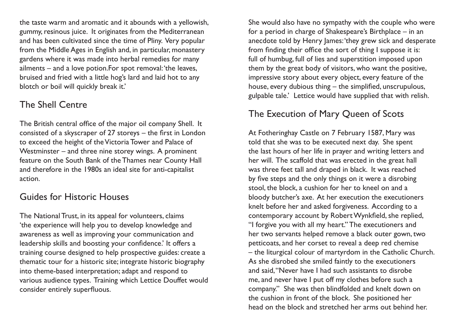the taste warm and aromatic and it abounds with a yellowish, gummy, resinous juice. It originates from the Mediterranean and has been cultivated since the time of Pliny. Very popular from the Middle Ages in English and, in particular, monastery gardens where it was made into herbal remedies for many ailments – and a love potion.For spot removal: 'the leaves, bruised and fried with a little hog's lard and laid hot to any blotch or boil will quickly break it.'

#### The Shell Centre

The British central office of the major oil company Shell. It consisted of a skyscraper of 27 storeys – the first in London to exceed the height of the Victoria Tower and Palace of Westminster – and three nine storey wings. A prominent feature on the South Bank of the Thames near County Hall and therefore in the 1980s an ideal site for anti-capitalist action.

#### Guides for Historic Houses

The National Trust, in its appeal for volunteers, claims 'the experience will help you to develop knowledge and awareness as well as improving your communication and leadership skills and boosting your confidence.' It offers a training course designed to help prospective guides: create a thematic tour for a historic site; integrate historic biography into theme-based interpretation; adapt and respond to various audience types. Training which Lettice Douffet would consider entirely superfluous.

She would also have no sympathy with the couple who were for a period in charge of Shakespeare's Birthplace – in an anecdote told by Henry James: 'they grew sick and desperate from finding their office the sort of thing I suppose it is: full of humbug, full of lies and superstition imposed upon them by the great body of visitors, who want the positive, impressive story about every object, every feature of the house, every dubious thing – the simplified, unscrupulous, gulpable tale.' Lettice would have supplied that with relish.

### The Execution of Mary Queen of Scots

At Fotheringhay Castle on 7 February 1587, Mary was told that she was to be executed next day. She spent the last hours of her life in prayer and writing letters and her will. The scaffold that was erected in the great hall was three feet tall and draped in black. It was reached by five steps and the only things on it were a disrobing stool, the block, a cushion for her to kneel on and a bloody butcher's axe. At her execution the executioners knelt before her and asked forgiveness. According to a contemporary account by Robert Wynkfield, she replied, "I forgive you with all my heart." The executioners and her two servants helped remove a black outer gown, two petticoats, and her corset to reveal a deep red chemise – the liturgical colour of martyrdom in the Catholic Church. As she disrobed she smiled faintly to the executioners and said, "Never have I had such assistants to disrobe me, and never have I put off my clothes before such a company." She was then blindfolded and knelt down on the cushion in front of the block. She positioned her head on the block and stretched her arms out behind her.